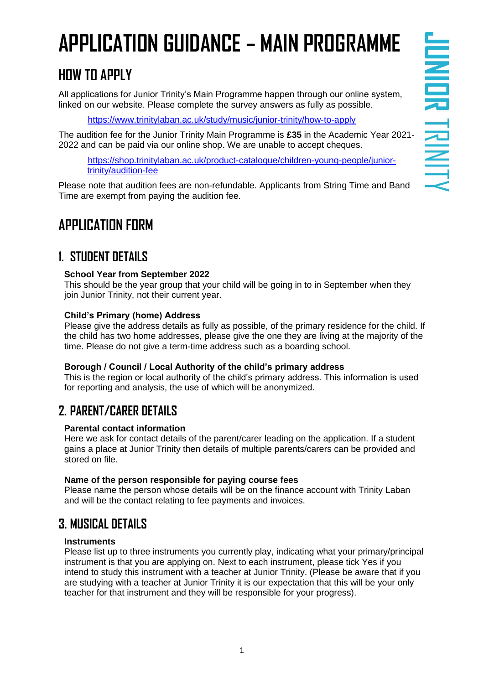# **APPLICATION GUIDANCE – MAIN PROGRAMME**

## **HOW TO APPLY**

All applications for Junior Trinity's Main Programme happen through our online system, linked on our website. Please complete the survey answers as fully as possible.

<https://www.trinitylaban.ac.uk/study/music/junior-trinity/how-to-apply>

The audition fee for the Junior Trinity Main Programme is **£35** in the Academic Year 2021- 2022 and can be paid via our online shop. We are unable to accept cheques.

[https://shop.trinitylaban.ac.uk/product-catalogue/children-young-people/junior](https://shop.trinitylaban.ac.uk/product-catalogue/children-young-people/junior-trinity/audition-fee)[trinity/audition-fee](https://shop.trinitylaban.ac.uk/product-catalogue/children-young-people/junior-trinity/audition-fee)

Please note that audition fees are non-refundable. Applicants from String Time and Band Time are exempt from paying the audition fee.

## **APPLICATION FORM**

### **1. STUDENT DETAILS**

#### **School Year from September 2022**

This should be the year group that your child will be going in to in September when they join Junior Trinity, not their current year.

#### **Child's Primary (home) Address**

Please give the address details as fully as possible, of the primary residence for the child. If the child has two home addresses, please give the one they are living at the majority of the time. Please do not give a term-time address such as a boarding school.

#### **Borough / Council / Local Authority of the child's primary address**

This is the region or local authority of the child's primary address. This information is used for reporting and analysis, the use of which will be anonymized.

## **2. PARENT/CARER DETAILS**

#### **Parental contact information**

Here we ask for contact details of the parent/carer leading on the application. If a student gains a place at Junior Trinity then details of multiple parents/carers can be provided and stored on file.

#### **Name of the person responsible for paying course fees**

Please name the person whose details will be on the finance account with Trinity Laban and will be the contact relating to fee payments and invoices.

## **3. MUSICAL DETAILS**

#### **Instruments**

Please list up to three instruments you currently play, indicating what your primary/principal instrument is that you are applying on. Next to each instrument, please tick Yes if you intend to study this instrument with a teacher at Junior Trinity. (Please be aware that if you are studying with a teacher at Junior Trinity it is our expectation that this will be your only teacher for that instrument and they will be responsible for your progress).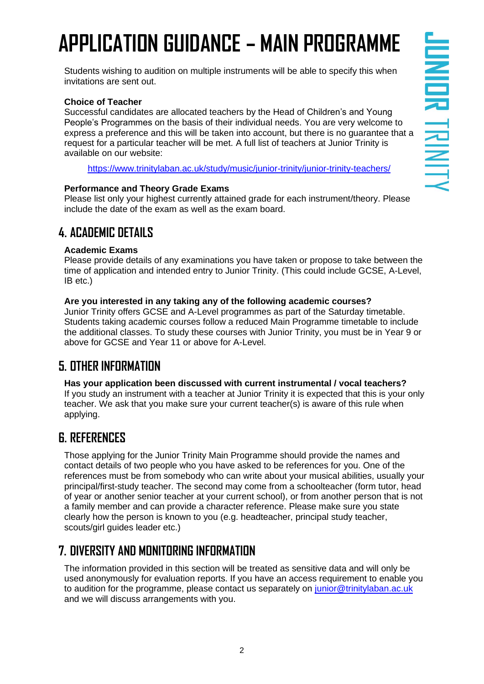# **APPLICATION GUIDANCE – MAIN PROGRAMME**

Students wishing to audition on multiple instruments will be able to specify this when invitations are sent out.

#### **Choice of Teacher**

Successful candidates are allocated teachers by the Head of Children's and Young People's Programmes on the basis of their individual needs. You are very welcome to express a preference and this will be taken into account, but there is no guarantee that a request for a particular teacher will be met. A full list of teachers at Junior Trinity is available on our website:

<https://www.trinitylaban.ac.uk/study/music/junior-trinity/junior-trinity-teachers/>

#### **Performance and Theory Grade Exams**

Please list only your highest currently attained grade for each instrument/theory. Please include the date of the exam as well as the exam board.

### **4. ACADEMIC DETAILS**

#### **Academic Exams**

Please provide details of any examinations you have taken or propose to take between the time of application and intended entry to Junior Trinity. (This could include GCSE, A-Level, IB etc.)

#### **Are you interested in any taking any of the following academic courses?**

Junior Trinity offers GCSE and A-Level programmes as part of the Saturday timetable. Students taking academic courses follow a reduced Main Programme timetable to include the additional classes. To study these courses with Junior Trinity, you must be in Year 9 or above for GCSE and Year 11 or above for A-Level.

## **5. OTHER INFORMATION**

**Has your application been discussed with current instrumental / vocal teachers?** If you study an instrument with a teacher at Junior Trinity it is expected that this is your only teacher. We ask that you make sure your current teacher(s) is aware of this rule when applying.

### **6. REFERENCES**

Those applying for the Junior Trinity Main Programme should provide the names and contact details of two people who you have asked to be references for you. One of the references must be from somebody who can write about your musical abilities, usually your principal/first-study teacher. The second may come from a schoolteacher (form tutor, head of year or another senior teacher at your current school), or from another person that is not a family member and can provide a character reference. Please make sure you state clearly how the person is known to you (e.g. headteacher, principal study teacher, scouts/girl guides leader etc.)

## **7. DIVERSITY AND MONITORING INFORMATION**

The information provided in this section will be treated as sensitive data and will only be used anonymously for evaluation reports. If you have an access requirement to enable you to audition for the programme, please contact us separately on [junior@trinitylaban.ac.uk](mailto:junior@trinitylaban.ac.uk) and we will discuss arrangements with you.